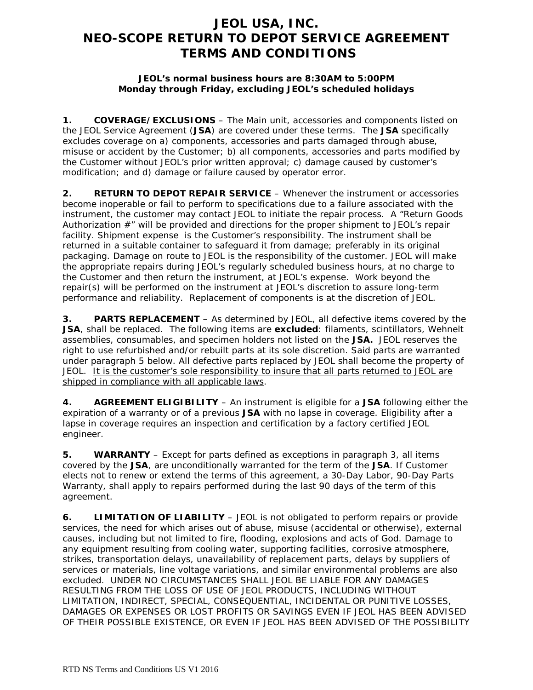## **JEOL USA, INC. NEO-SCOPE RETURN TO DEPOT SERVICE AGREEMENT TERMS AND CONDITIONS**

## **JEOL's normal business hours are 8:30AM to 5:00PM Monday through Friday, excluding JEOL's scheduled holidays**

**1. COVERAGE/EXCLUSIONS** – The Main unit, accessories and components listed on the JEOL Service Agreement (**JSA**) are covered under these terms. The **JSA** specifically excludes coverage on a) components, accessories and parts damaged through abuse, misuse or accident by the Customer; b) all components, accessories and parts modified by the Customer without JEOL's prior written approval; c) damage caused by customer's modification; and d) damage or failure caused by operator error.

**2. RETURN TO DEPOT REPAIR SERVICE** – Whenever the instrument or accessories become inoperable or fail to perform to specifications due to a failure associated with the instrument, the customer may contact JEOL to initiate the repair process. A "Return Goods Authorization #" will be provided and directions for the proper shipment to JEOL's repair facility. Shipment expense is the Customer's responsibility. The instrument shall be returned in a suitable container to safeguard it from damage; preferably in its original packaging. Damage on route to JEOL is the responsibility of the customer. JEOL will make the appropriate repairs during JEOL's regularly scheduled business hours, at no charge to the Customer and then return the instrument, at JEOL's expense. Work beyond the repair(s) will be performed on the instrument at JEOL's discretion to assure long-term performance and reliability. Replacement of components is at the discretion of JEOL.

**3. PARTS REPLACEMENT** – As determined by JEOL, all defective items covered by the **JSA**, shall be replaced. The following items are **excluded**: filaments, scintillators, Wehnelt assemblies, consumables, and specimen holders not listed on the **JSA.** JEOL reserves the right to use refurbished and/or rebuilt parts at its sole discretion. Said parts are warranted under paragraph 5 below. All defective parts replaced by JEOL shall become the property of JEOL. It is the customer's sole responsibility to insure that all parts returned to JEOL are shipped in compliance with all applicable laws.

**4. AGREEMENT ELIGIBILITY** – An instrument is eligible for a **JSA** following either the expiration of a warranty or of a previous **JSA** with no lapse in coverage. Eligibility after a lapse in coverage requires an inspection and certification by a factory certified JEOL engineer.

**5. WARRANTY** – Except for parts defined as exceptions in paragraph 3, all items covered by the **JSA**, are unconditionally warranted for the term of the **JSA**. If Customer elects not to renew or extend the terms of this agreement, a 30-Day Labor, 90-Day Parts Warranty, shall apply to repairs performed during the last 90 days of the term of this agreement.

**6. LIMITATION OF LIABILITY** – JEOL is not obligated to perform repairs or provide services, the need for which arises out of abuse, misuse (accidental or otherwise), external causes, including but not limited to fire, flooding, explosions and acts of God. Damage to any equipment resulting from cooling water, supporting facilities, corrosive atmosphere, strikes, transportation delays, unavailability of replacement parts, delays by suppliers of services or materials, line voltage variations, and similar environmental problems are also excluded. UNDER NO CIRCUMSTANCES SHALL JEOL BE LIABLE FOR ANY DAMAGES RESULTING FROM THE LOSS OF USE OF JEOL PRODUCTS, INCLUDING WITHOUT LIMITATION, INDIRECT, SPECIAL, CONSEQUENTIAL, INCIDENTAL OR PUNITIVE LOSSES, DAMAGES OR EXPENSES OR LOST PROFITS OR SAVINGS EVEN IF JEOL HAS BEEN ADVISED OF THEIR POSSIBLE EXISTENCE, OR EVEN IF JEOL HAS BEEN ADVISED OF THE POSSIBILITY